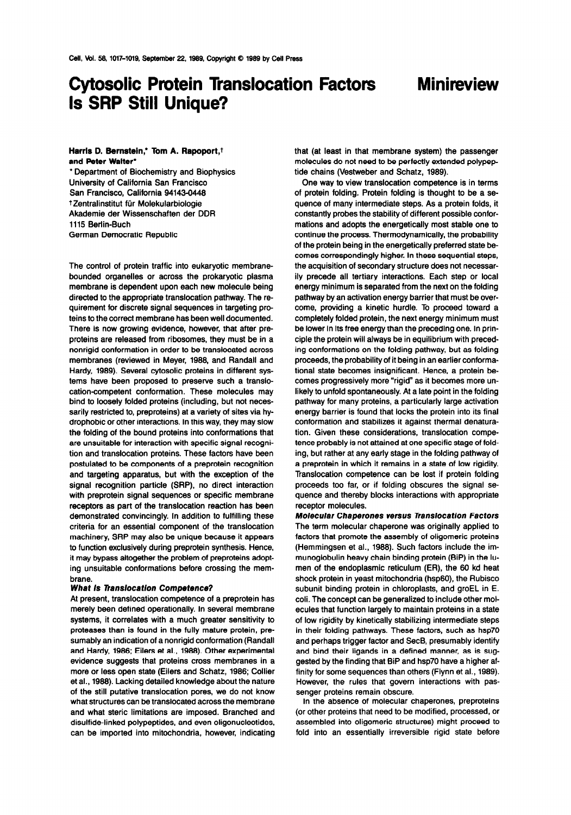# Cytosolic Protein Translocation Factors Is SRP Still Unique?

## **Minireview**

Harris D. Bernstein,\* Tom A. Rapoport,<sup>t</sup> and Peter Walter' \* Department of Biochemistry and Biophysics

University of California San Francisco San Francisco, California 94143-0448 tzentralinstitut fiir Molekularbiologie Akademie der Wissenschaften der DDR 1115 Berlin-Buch German Democratic Republic

The control of protein traffic into eukaryotic membranebounded organelles or across the prokaryotic plasma membrane is dependent upon each new molecule being directed to the appropriate transiocation pathway. The requirement for discrete signal sequences in targeting proteins to the correct membrane has been well documented. There is now growing evidence, however, that after preproteins are released from ribosomes, they must be in a nonrigid conformation in order to be translocated across membranes (reviewed in Meyer, 1988, and Randall and Hardy, 1989). Several cytosoiic proteins in different systems have been proposed to preserve such a transiocation-competent conformation. These molecules may bind to loosely folded proteins (including, but not necessarily restricted to, preproteins) at a variety of sites via hydrophobic or other interactions. In this way, they may slow the folding of the bound proteins into conformations that are unsuitable for interaction with specific signal recognition and translocation proteins. These factors have been postulated to be components of a preprotein recognition and targeting apparatus, but with the exception of the signal recognition particle (SRP), no direct interaction with preprotein signal sequences or specific membrane receptors as part of the translocation reaction has been demonstrated convincingly. In addition to fulfilling these criteria for an essential component of the translocation machinery, SRP may also be unique because it appears to function exclusively during preprotein synthesis. Hence, it may bypass altogether the problem of preproteins adopting unsuitable conformations before crossing the membrane.

## What Is Translocation Competence?

At present, transiocation competence of a preprotein has merely been defined operationally. In several membrane systems, it correlates with a much greater sensitivity to proteases than is found in the fully mature protein, presumably an indication of a nonrigid conformation (Randall and Hardy, 1988; Eilers et al., 1988). Other experimental evidence suggests that proteins cross membranes in a more or less open state (Eilers and Schatz, 1986; Collier et al., 1988). Lacking detailed knowledge about the nature of the still putative translocation pores, we do not know what structures can be transiocated across the membrane and what steric limitations are imposed. Branched and disulfide-linked polypeptides, and even oligonucleotides, can be imported into mitochondria, however, indicating

that (at least in that membrane system) the passenger molecules do not need to be perfectly extended polypeptide chains (Vestweber and Schatz, 1989).

One way to view transiocation competence is in terms of protein folding. Protein folding is thought to be a sequence of many intermediate steps. As a protein folds, it constantly probes the stability of different possible conformations and adopts the energetically most stable one to continue the process. Thermodynamically, the probability of the protein being in the energetically preferred state becomes correspondingly higher. In these sequential steps, the acquisition of secondary structure does not necessarily precede ail tertiary interactions. Each step or local energy minimum is separated from the next on the folding pathway by an activation energy barrier that must be overcome, providing a kinetic hurdle. To proceed toward a completely folded protein, the next energy minimum must be lower in its free energy than the preceding one. In principle the protein will always be in equilibrium with preceding conformations on the folding pathway, but as folding proceeds, the probability of it being in an earlier conformational state becomes insignificant. Hence, a protein becomes progressively more "rigid" as it becomes more unlikely to unfold spontaneously. At a late point in the folding pathway for many proteins, a particularly large activation energy barrier is found that locks the protein into its final conformation and stabilizes it against thermal denaturation. Given these considerations, translocation competence probably is not attained at one specific stage of folding, but rather at any early stage in the folding pathway of a preprotein in which it remains in a state of low rigidity. Translocation competence can be lost if protein folding proceeds too far, or if folding obscures the signal sequence and thereby blocks interactions with appropriate receptor molecules.

Molecular Chaperones versus Translocation Factors The term molecular chaperone was originally applied to factors that promote the assembly of oligomeric proteins (Hemmingsen et al., 1988). Such factors include the immunoglobuiin heavy chain binding protein (BiP) in the Iumen of the endoplasmic reticulum (ER), the 60 kd heat shock protein in yeast mitochondria (hsp60), the Rubisco subunit binding protein in chloropiasts, and groEL in E. coli. The concept can be generalized to include other molecules that function largely to maintain proteins in a state of low rigidity by kinetically stabilizing intermediate steps in their folding pathways. These factors, such as hsp70 and perhaps trigger factor and SecB, presumably identify and bind their iigands in a defined manner, as is suggested by the finding that BiP and hsp70 have a higher affinity for some sequences than others (Flynn et al., 1989). However, the rules that govern interactions with passenger proteins remain obscure.

In the absence of molecular chaperones, preproteins (or other proteins that need to be modified, processed, or assembled into oiigomeric structures) might proceed to fold into an essentially irreversible rigid state before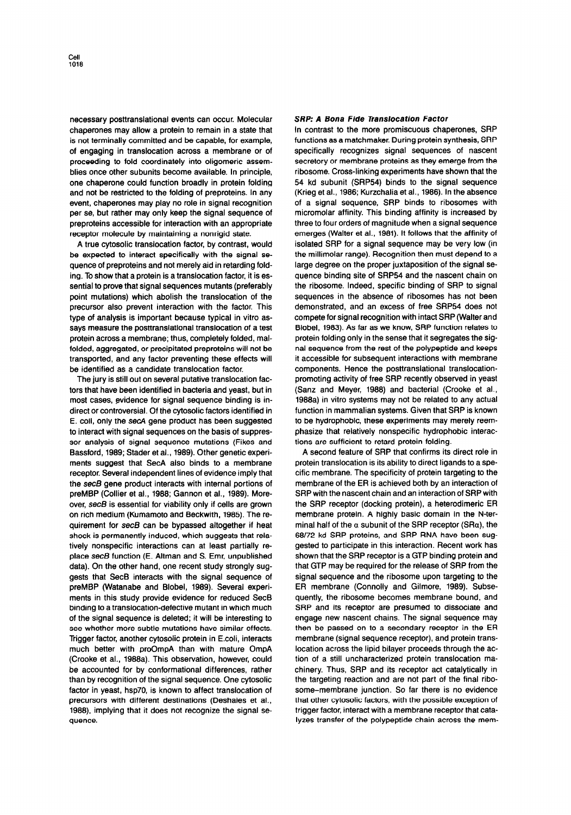necessary posttranslational events can occur. Molecular chaperones may allow a protein to remain in a state that is not terminally committed and be capable, for example, of engaging in translocation across a membrane or of proceeding to fold coordinately into oligomeric assemblies once other subunits become available. In principle, one chaperone could function broadly in protein folding and not be restricted to the folding of preproteins. In any event, chaperones may play no role in signal recognition per se, but rather may only keep the signal sequence of preproteins accessible for interaction with an appropriate receptor molecule by maintaining a nonrigid state.

A true cytosolic translocation factor, by contrast, would be expected to interact specifically with the signal sequence of preproteins and not merely aid in retarding folding. To show that a protein is a translocation factor, it is essential to prove that signal sequences mutants (preferably point mutations) which abolish the translocation of the precursor also prevent interaction with the factor. This type of analysis is important because typical in vitro assays measure the posttranslational translocation of a test protein across a membrane; thus, completely folded, malfolded, aggregated, or precipitated preproteins will not be transported, and any factor preventing these effects will be identified as a candidate translocation factor.

The jury is still out on several putative translocation factors that have been identified in bacteria and yeast, but in most cases, evidence for signal sequence binding is indirect or controversial. Of the cytosolic factors identified in E. coli, only the secA gene product has been suggested to interact with signal sequences on the basis of suppressor analysis of signal sequence mutations (Fikes and Bassford, 1989; Stader et al., 1989). Other genetic experiments suggest that SecA also binds to a membrane receptor. Several independent lines of evidence imply that the secB gene product interacts with internal portions of preMBP (Collier et al., 1988; Gannon et al., 1989). Moreover, secB is essential for viability only if cells are grown on rich medium (Kumamoto and Beckwith, 1985). The requirement for secB can be bypassed altogether if heat shock is permanently induced, which suggests that relatively nonspecific interactions can at least partially replace secB function (E. Altman and S. Emr, unpublished data). On the other hand, one recent study strongly suggests that SecB interacts with the signal sequence of preMBP (Watanabe and Blobel, 1989). Several experiments in this study provide evidence for reduced SecB binding to a translocation-defective mutant in which much of the signal sequence is deleted; it will be interesting to see whether more subtle mutations have similar effects. Trigger factor, another cytosolic protein in E.coli, interacts much better with proOmpA than with mature OmpA (Crooke et al., 1988a). This observation, however, could be accounted for by conformational differences, rather than by recognition of the signal sequence. One cytosolic factor in yeast, hsp70, is known to affect translocation of precursors with different destinations (Deshaies et al., 1988). implying that it does not recognize the signal sequence.

#### SRP: A Bona Fide Translocation Factor

In contrast to the more promiscuous chaperones, SRP functions as a matchmaker. During protein synthesis, SRP specifically recognizes signal sequences of nascent secretory or membrane proteins as they emerge from the ribosome. Cross-linking experiments have shown that the 54 kd subunit (SRP54) binds to the signal sequence (Krieg et al., 1986; Kurzchalia et al., 1986). In the absence of a signal sequence, SRP binds to ribosomes with micromolar affinity. This binding affinity is increased by three to four orders of magnitude when a signal sequence emerges (Walter et al., 1981). It follows that the affinity of isolated SRP for a signal sequence may be very low (in the millimolar range). Recognition then must depend to a large degree on the proper juxtaposition of the signal sequence binding site of SRP54 and the nascent chain on the ribosome. Indeed, specific binding of SRP to signal sequences in the absence of ribosomes has not been demonstrated, and an excess of free SRP54 does not compete for signal recognition with intact SRP (Walter and Blobel, 1983). As far as we know, SRP function relates to protein folding only in the sense that it segregates the signal sequence from the rest of the polypeptide and keeps it accessible for subsequent interactions with membrane components. Hence the posttranslational translocationpromoting activity of free SRP recently observed in yeast (Sanz and Meyer, 1988) and bacterial (Crooke et al., 1988a) in vitro systems may not be related to any actual function in mammalian systems. Given that SRP is known to be hydrophobic, these experiments may merely reemphasize that relatively nonspecific hydrophobic interactions are sufficient to retard protein folding.

A second feature of SRP that confirms its direct role in protein translocation is its ability to direct ligands to a specific membrane. The specificity of protein targeting to the membrane of the ER is achieved both by an interaction of SRP with the nascent chain and an interaction of SRP with the SRP receptor (docking protein), a heterodimeric ER membrane protein. A highly basic domain in the N-terminal half of the  $\alpha$  subunit of the SRP receptor (SR $\alpha$ ), the 68172 kd SRP proteins, and SRP RNA have been suggested to participate in this interaction. Recent work has shown that the SRP receptor is a GTP binding protein and that GTP may be required for the release of SRP from the signal sequence and the ribosome upon targeting to the ER membrane (Connolly and Gilmore, 1989). Subsequently, the ribosome becomes membrane bound, and SRP and its receptor are presumed to dissociate and engage new nascent chains. The signal sequence may then be passed on to a secondary receptor in the ER membrane (signal sequence receptor), and protein translocation across the lipid bilayer proceeds through the action of a still uncharacterized protein translocation machinery. Thus, SRP and its receptor act catalytically in the targeting reaction and are not part of the final ribosome-membrane junction. So far there is no evidence that other cytosolic factors, with the possible exception of trigger factor, interact with a membrane receptor that catalyzes transfer of the polypeptide chain across the mem